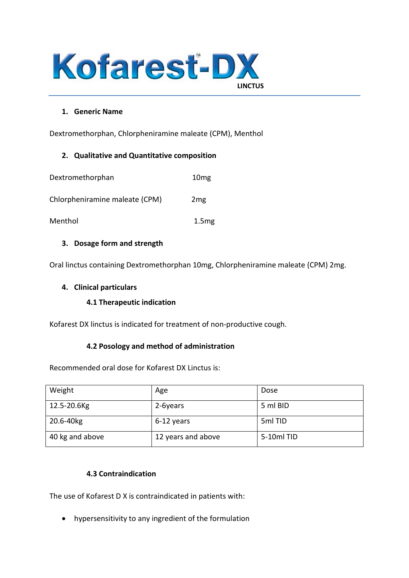

### **1. Generic Name**

Dextromethorphan, Chlorpheniramine maleate (CPM), Menthol

### **2. Qualitative and Quantitative composition**

| Dextromethorphan               | 10 <sub>mg</sub>  |
|--------------------------------|-------------------|
| Chlorpheniramine maleate (CPM) | 2 <sub>mg</sub>   |
| Menthol                        | 1.5 <sub>mg</sub> |

### **3. Dosage form and strength**

Oral linctus containing Dextromethorphan 10mg, Chlorpheniramine maleate (CPM) 2mg.

### **4. Clinical particulars**

### **4.1 Therapeutic indication**

Kofarest DX linctus is indicated for treatment of non-productive cough.

### **4.2 Posology and method of administration**

Recommended oral dose for Kofarest DX Linctus is:

| Weight          | Age                | Dose       |
|-----------------|--------------------|------------|
| 12.5-20.6Kg     | 2-6years           | 5 ml BID   |
| 20.6-40kg       | 6-12 years         | 5ml TID    |
| 40 kg and above | 12 years and above | 5-10ml TID |

### **4.3 Contraindication**

The use of Kofarest D X is contraindicated in patients with:

• hypersensitivity to any ingredient of the formulation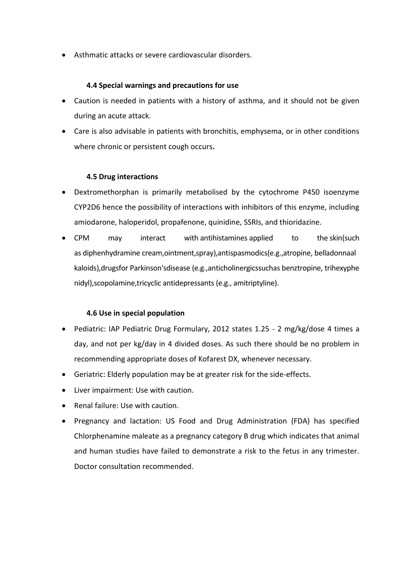• Asthmatic attacks or severe cardiovascular disorders.

### **4.4 Special warnings and precautions for use**

- Caution is needed in patients with a history of asthma, and it should not be given during an acute attack.
- Care is also advisable in patients with bronchitis, emphysema, or in other conditions where chronic or persistent cough occurs**.**

### **4.5 Drug interactions**

- Dextromethorphan is primarily metabolised by the cytochrome P450 isoenzyme CYP2D6 hence the possibility of interactions with inhibitors of this enzyme, including amiodarone, haloperidol, propafenone, quinidine, SSRIs, and thioridazine.
- CPM may interact with [antihistamines](https://www.webmd.com/allergies/antihistamines-for-allergies) applied to the [skin\(](https://www.webmd.com/skin-problems-and-treatments/picture-of-the-skin)such as [diphenhydramine](https://www.webmd.com/drugs/2/drug-1428/diphenhydramine+oral/details) cream,ointment,spray),antispasmodics(e.g.,atropine, [belladonnaa](https://www.webmd.com/drugs/drug-2067-belladonna+alkaloids-opium+rect.aspx)l kaloids),drugsfor [Parkinson'sdisease](https://www.webmd.com/parkinsons-disease/default.htm) (e.g.,anticholinergicssuchas [benztropine,](https://www.webmd.com/drugs/2/drug-8619/benztropine+oral/details) [trihexyphe](https://www.webmd.com/drugs/2/drug-8720/trihexyphenidyl+oral/details) [nidyl\)](https://www.webmd.com/drugs/2/drug-8720/trihexyphenidyl+oral/details),scopolamine,tricyclic [antidepressants](https://www.webmd.com/depression/guide/depression-medications-antidepressants) (e.g., [amitriptyline\)](https://www.webmd.com/drugs/2/drug-8611/amitriptyline+oral/details).

### **4.6 Use in special population**

- Pediatric: IAP Pediatric Drug Formulary, 2012 states 1.25 2 mg/kg/dose 4 times a day, and not per kg/day in 4 divided doses. As such there should be no problem in recommending appropriate doses of Kofarest DX, whenever necessary.
- Geriatric: Elderly population may be at greater risk for the side-effects.
- Liver impairment: Use with caution.
- Renal failure: Use with caution.
- Pregnancy and lactation: US Food and Drug Administration (FDA) has specified Chlorphenamine maleate as a pregnancy category B drug which indicates that animal and human studies have failed to demonstrate a risk to the fetus in any trimester. Doctor consultation recommended.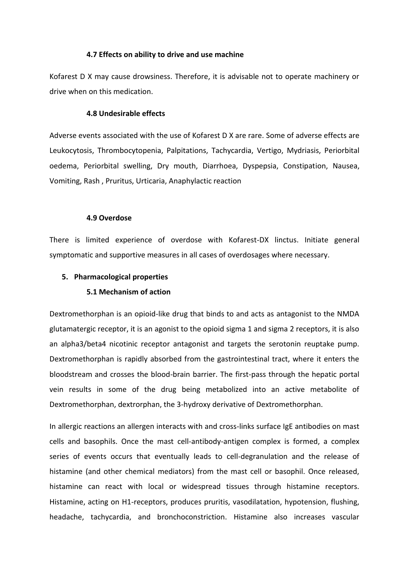#### **4.7 Effects on ability to drive and use machine**

Kofarest D X may cause drowsiness. Therefore, it is advisable not to operate machinery or drive when on this medication.

#### **4.8 Undesirable effects**

Adverse events associated with the use of Kofarest D X are rare. Some of adverse effects are Leukocytosis, Thrombocytopenia, Palpitations, Tachycardia, Vertigo, Mydriasis, Periorbital oedema, Periorbital swelling, Dry mouth, Diarrhoea, Dyspepsia, Constipation, Nausea, Vomiting, Rash , Pruritus, Urticaria, Anaphylactic reaction

#### **4.9 Overdose**

There is limited experience of overdose with Kofarest-DX linctus. Initiate general symptomatic and supportive measures in all cases of overdosages where necessary.

### **5. Pharmacological properties**

#### **5.1 Mechanism of action**

Dextromethorphan is an opioid-like drug that binds to and acts as antagonist to the NMDA glutamatergic receptor, it is an agonist to the opioid sigma 1 and sigma 2 receptors, it is also an alpha3/beta4 nicotinic receptor antagonist and targets the serotonin reuptake pump. Dextromethorphan is rapidly absorbed from the gastrointestinal tract, where it enters the bloodstream and crosses the blood-brain barrier. The first-pass through the hepatic portal vein results in some of the drug being metabolized into an active metabolite of Dextromethorphan, dextrorphan, the 3-hydroxy derivative of Dextromethorphan.

In allergic reactions an allergen interacts with and cross-links surface IgE antibodies on mast cells and basophils. Once the mast cell-antibody-antigen complex is formed, a complex series of events occurs that eventually leads to cell-degranulation and the release of histamine (and other chemical mediators) from the mast cell or basophil. Once released, histamine can react with local or widespread tissues through histamine receptors. Histamine, acting on H1-receptors, produces pruritis, vasodilatation, hypotension, flushing, headache, tachycardia, and bronchoconstriction. Histamine also increases vascular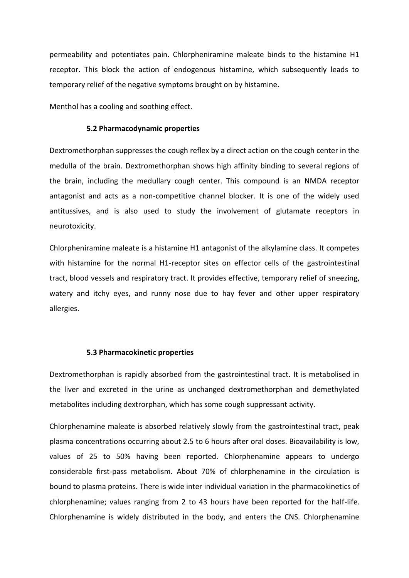permeability and potentiates pain. Chlorpheniramine maleate binds to the histamine H1 receptor. This block the action of endogenous histamine, which subsequently leads to temporary relief of the negative symptoms brought on by histamine.

Menthol has a cooling and soothing effect.

#### **5.2 Pharmacodynamic properties**

Dextromethorphan suppresses the cough reflex by a direct action on the cough center in the medulla of the brain. Dextromethorphan shows high affinity binding to several regions of the brain, including the medullary cough center. This compound is an NMDA receptor antagonist and acts as a non-competitive channel blocker. It is one of the widely used antitussives, and is also used to study the involvement of glutamate receptors in neurotoxicity.

Chlorpheniramine maleate is a histamine H1 antagonist of the alkylamine class. It competes with histamine for the normal H1-receptor sites on effector cells of the gastrointestinal tract, blood vessels and respiratory tract. It provides effective, temporary relief of sneezing, watery and itchy eyes, and runny nose due to hay fever and other upper respiratory allergies.

#### **5.3 Pharmacokinetic properties**

Dextromethorphan is rapidly absorbed from the gastrointestinal tract. It is metabolised in the liver and excreted in the urine as unchanged dextromethorphan and demethylated metabolites including dextrorphan, which has some cough suppressant activity.

Chlorphenamine maleate is absorbed relatively slowly from the gastrointestinal tract, peak plasma concentrations occurring about 2.5 to 6 hours after oral doses. Bioavailability is low, values of 25 to 50% having been reported. Chlorphenamine appears to undergo considerable first-pass metabolism. About 70% of chlorphenamine in the circulation is bound to plasma proteins. There is wide inter individual variation in the pharmacokinetics of chlorphenamine; values ranging from 2 to 43 hours have been reported for the half-life. Chlorphenamine is widely distributed in the body, and enters the CNS. Chlorphenamine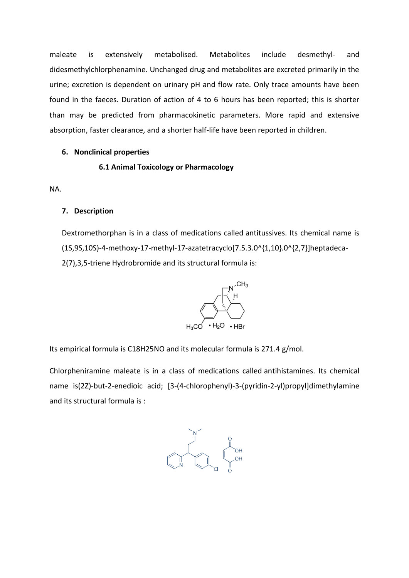maleate is extensively metabolised. Metabolites include desmethyl- and didesmethylchlorphenamine. Unchanged drug and metabolites are excreted primarily in the urine; excretion is dependent on urinary pH and flow rate. Only trace amounts have been found in the faeces. Duration of action of 4 to 6 hours has been reported; this is shorter than may be predicted from pharmacokinetic parameters. More rapid and extensive absorption, faster clearance, and a shorter half-life have been reported in children.

#### **6. Nonclinical properties**

**6.1 Animal Toxicology or Pharmacology**

NA.

#### **7. Description**

Dextromethorphan is in a class of medications called antitussives. Its chemical name is (1S,9S,10S)-4-methoxy-17-methyl-17-azatetracyclo[7.5.3.0^{1,10}.0^{2,7}]heptadeca-2(7),3,5-triene Hydrobromide and its structural formula is:



Its empirical formula is C18H25NO and its molecular formula is 271.4 g/mol.

Chlorpheniramine maleate is in a class of medications called antihistamines. Its chemical name is(2Z)-but-2-enedioic acid; [3-(4-chlorophenyl)-3-(pyridin-2-yl)propyl]dimethylamine and its structural formula is :

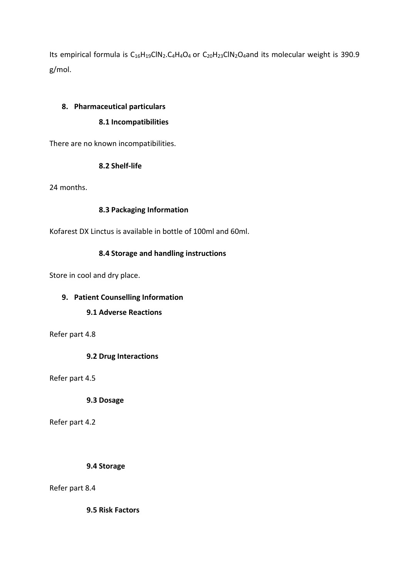Its empirical formula is  $C_{16}H_{19}CIN_2.C_4H_4O_4$  or  $C_{20}H_{23}CIN_2O_4$  and its molecular weight is 390.9 g/mol.

# **8. Pharmaceutical particulars**

# **8.1 Incompatibilities**

There are no known incompatibilities.

# **8.2 Shelf-life**

24 months.

# **8.3 Packaging Information**

Kofarest DX Linctus is available in bottle of 100ml and 60ml.

# **8.4 Storage and handling instructions**

Store in cool and dry place.

# **9. Patient Counselling Information**

### **9.1 Adverse Reactions**

Refer part 4.8

**9.2 Drug Interactions**

Refer part 4.5

**9.3 Dosage**

Refer part 4.2

**9.4 Storage**

Refer part 8.4

**9.5 Risk Factors**